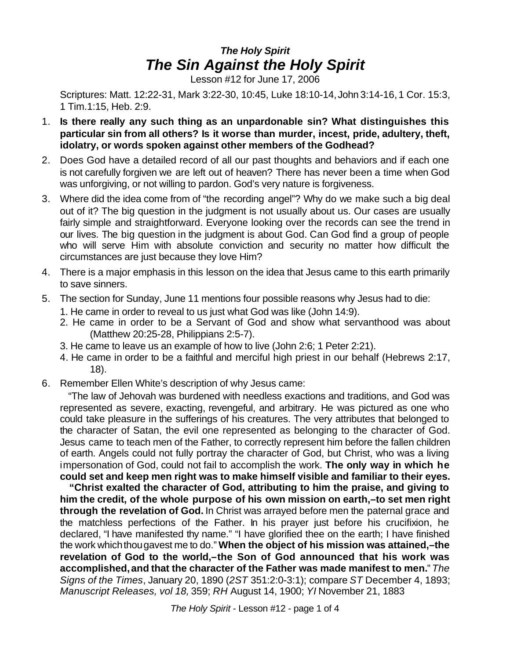## *The Holy Spirit The Sin Against the Holy Spirit*

Lesson #12 for June 17, 2006

Scriptures: Matt. 12:22-31, Mark 3:22-30, 10:45, Luke 18:10-14,John 3:14-16,1 Cor. 15:3, 1 Tim.1:15, Heb. 2:9.

- 1. **Is there really any such thing as an unpardonable sin? What distinguishes this particular sin from all others? Is it worse than murder, incest, pride, adultery, theft, idolatry, or words spoken against other members of the Godhead?**
- 2. Does God have a detailed record of all our past thoughts and behaviors and if each one is not carefully forgiven we are left out of heaven? There has never been a time when God was unforgiving, or not willing to pardon. God's very nature is forgiveness.
- 3. Where did the idea come from of "the recording angel"? Why do we make such a big deal out of it? The big question in the judgment is not usually about us. Our cases are usually fairly simple and straightforward. Everyone looking over the records can see the trend in our lives. The big question in the judgment is about God. Can God find a group of people who will serve Him with absolute conviction and security no matter how difficult the circumstances are just because they love Him?
- 4. There is a major emphasis in this lesson on the idea that Jesus came to this earth primarily to save sinners.
- 5. The section for Sunday, June 11 mentions four possible reasons why Jesus had to die:
	- 1. He came in order to reveal to us just what God was like (John 14:9).
	- 2. He came in order to be a Servant of God and show what servanthood was about (Matthew 20:25-28, Philippians 2:5-7).
	- 3. He came to leave us an example of how to live (John 2:6; 1 Peter 2:21).
	- 4. He came in order to be a faithful and merciful high priest in our behalf (Hebrews 2:17, 18).
- 6. Remember Ellen White's description of why Jesus came:

 "The law of Jehovah was burdened with needless exactions and traditions, and God was represented as severe, exacting, revengeful, and arbitrary. He was pictured as one who could take pleasure in the sufferings of his creatures. The very attributes that belonged to the character of Satan, the evil one represented as belonging to the character of God. Jesus came to teach men of the Father, to correctly represent him before the fallen children of earth. Angels could not fully portray the character of God, but Christ, who was a living impersonation of God, could not fail to accomplish the work. **The only way in which he could set and keep men right was to make himself visible and familiar to their eyes.**

 **"Christ exalted the character of God, attributing to him the praise, and giving to him the credit, of the whole purpose of his own mission on earth,–to set men right through the revelation of God.** In Christ was arrayed before men the paternal grace and the matchless perfections of the Father. In his prayer just before his crucifixion, he declared, "I have manifested thy name." "I have glorified thee on the earth; I have finished the work whichthougavest me to do." **When the object of his mission was attained,–the revelation of God to the world,–the Son of God announced that his work was accomplished,and that the character of the Father was made manifest to men.**" *The Signs of the Times*, January 20, 1890 (*2ST* 351:2:0-3:1); compare *ST* December 4, 1893; *Manuscript Releases, vol 18,* 359; *RH* August 14, 1900; *YI* November 21, 1883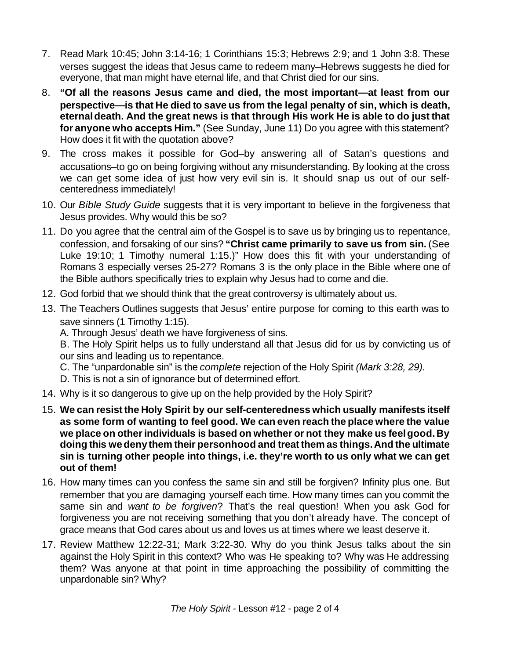- 7. Read Mark 10:45; John 3:14-16; 1 Corinthians 15:3; Hebrews 2:9; and 1 John 3:8. These verses suggest the ideas that Jesus came to redeem many–Hebrews suggests he died for everyone, that man might have eternal life, and that Christ died for our sins.
- 8. **"Of all the reasons Jesus came and died, the most important—at least from our perspective—is that He died to save us from the legal penalty of sin, which is death, eternaldeath. And the great news is that through His work He is able to do just that for anyone who accepts Him."** (See Sunday, June 11) Do you agree with this statement? How does it fit with the quotation above?
- 9. The cross makes it possible for God–by answering all of Satan's questions and accusations–to go on being forgiving without any misunderstanding. By looking at the cross we can get some idea of just how very evil sin is. It should snap us out of our selfcenteredness immediately!
- 10. Our *Bible Study Guide* suggests that it is very important to believe in the forgiveness that Jesus provides. Why would this be so?
- 11. Do you agree that the central aim of the Gospel is to save us by bringing us to repentance, confession, and forsaking of our sins? **"Christ came primarily to save us from sin.** (See Luke 19:10; 1 Timothy numeral 1:15.)" How does this fit with your understanding of Romans 3 especially verses 25-27? Romans 3 is the only place in the Bible where one of the Bible authors specifically tries to explain why Jesus had to come and die.
- 12. God forbid that we should think that the great controversy is ultimately about us.
- 13. The Teachers Outlines suggests that Jesus' entire purpose for coming to this earth was to save sinners (1 Timothy 1:15).

A. Through Jesus' death we have forgiveness of sins.

B. The Holy Spirit helps us to fully understand all that Jesus did for us by convicting us of our sins and leading us to repentance.

C. The "unpardonable sin" is the *complete* rejection of the Holy Spirit *(Mark 3:28, 29).*

- D. This is not a sin of ignorance but of determined effort.
- 14. Why is it so dangerous to give up on the help provided by the Holy Spirit?
- 15. **We can resist the Holy Spirit by our self-centeredness which usually manifests itself as some form of wanting to feel good. We can even reach the place where the value we place on otherindividuals is based on whether or not they make us feelgood.By doing this wedenythem their personhood and treat them as things.And the ultimate sin is turning other people into things, i.e. they're worth to us only what we can get out of them!**
- 16. How many times can you confess the same sin and still be forgiven? Infinity plus one. But remember that you are damaging yourself each time. How many times can you commit the same sin and *want to be forgiven*? That's the real question! When you ask God for forgiveness you are not receiving something that you don't already have. The concept of grace means that God cares about us and loves us at times where we least deserve it.
- 17. Review Matthew 12:22-31; Mark 3:22-30. Why do you think Jesus talks about the sin against the Holy Spirit in this context? Who was He speaking to? Why was He addressing them? Was anyone at that point in time approaching the possibility of committing the unpardonable sin? Why?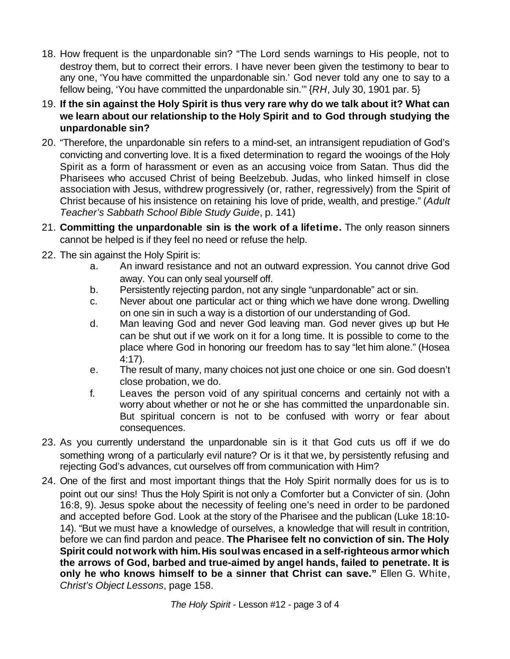- 18. How frequent is the unpardonable sin? "The Lord sends warnings to His people, not to destroy them, but to correct their errors. I have never been given the testimony to bear to any one, 'You have committed the unpardonable sin.' God never told any one to say to a fellow being, 'You have committed the unpardonable sin.'" {*RH*, July 30, 1901 par. 5}
- 19. **If the sin against the Holy Spirit is thus very rare why do we talk about it? What can we learn about our relationship to the Holy Spirit and to God through studying the unpardonable sin?**
- 20. "Therefore, the unpardonable sin refers to a mind-set, an intransigent repudiation of God's convicting and converting love. It is a fixed determination to regard the wooings of the Holy Spirit as a form of harassment or even as an accusing voice from Satan. Thus did the Pharisees who accused Christ of being Beelzebub. Judas, who linked himself in close association with Jesus, withdrew progressively (or, rather, regressively) from the Spirit of Christ because of his insistence on retaining his love of pride, wealth, and prestige." (*Adult Teacher's Sabbath School Bible Study Guide*, p. 141)
- 21. **Committing the unpardonable sin is the work of a lifetime.** The only reason sinners cannot be helped is if they feel no need or refuse the help.
- 22. The sin against the Holy Spirit is:
	- a. An inward resistance and not an outward expression. You cannot drive God away. You can only seal yourself off.
	- b. Persistently rejecting pardon, not any single "unpardonable" act or sin.
	- c. Never about one particular act or thing which we have done wrong. Dwelling on one sin in such a way is a distortion of our understanding of God.
	- d. Man leaving God and never God leaving man. God never gives up but He can be shut out if we work on it for a long time. It is possible to come to the place where God in honoring our freedom has to say "let him alone." (Hosea 4:17).
	- e. The result of many, many choices not just one choice or one sin. God doesn't close probation, we do.
	- f. Leaves the person void of any spiritual concerns and certainly not with a worry about whether or not he or she has committed the unpardonable sin. But spiritual concern is not to be confused with worry or fear about consequences.
- 23. As you currently understand the unpardonable sin is it that God cuts us off if we do something wrong of a particularly evil nature? Or is it that we, by persistently refusing and rejecting God's advances, cut ourselves off from communication with Him?
- 24. One of the first and most important things that the Holy Spirit normally does for us is to point out our sins! Thus the Holy Spirit is not only a Comforter but a Convicter of sin. (John 16:8, 9). Jesus spoke about the necessity of feeling one's need in order to be pardoned and accepted before God. Look at the story of the Pharisee and the publican (Luke 18:10- 14). "But we must have a knowledge of ourselves, a knowledge that will result in contrition, before we can find pardon and peace. **The Pharisee felt no conviction of sin. The Holy Spirit could notwork with him.His soulwas encased in a self-righteous armor which the arrows of God, barbed and true-aimed by angel hands, failed to penetrate. It is only he who knows himself to be a sinner that Christ can save."** Ellen G. White, *Christ's Object Lessons*, page 158.